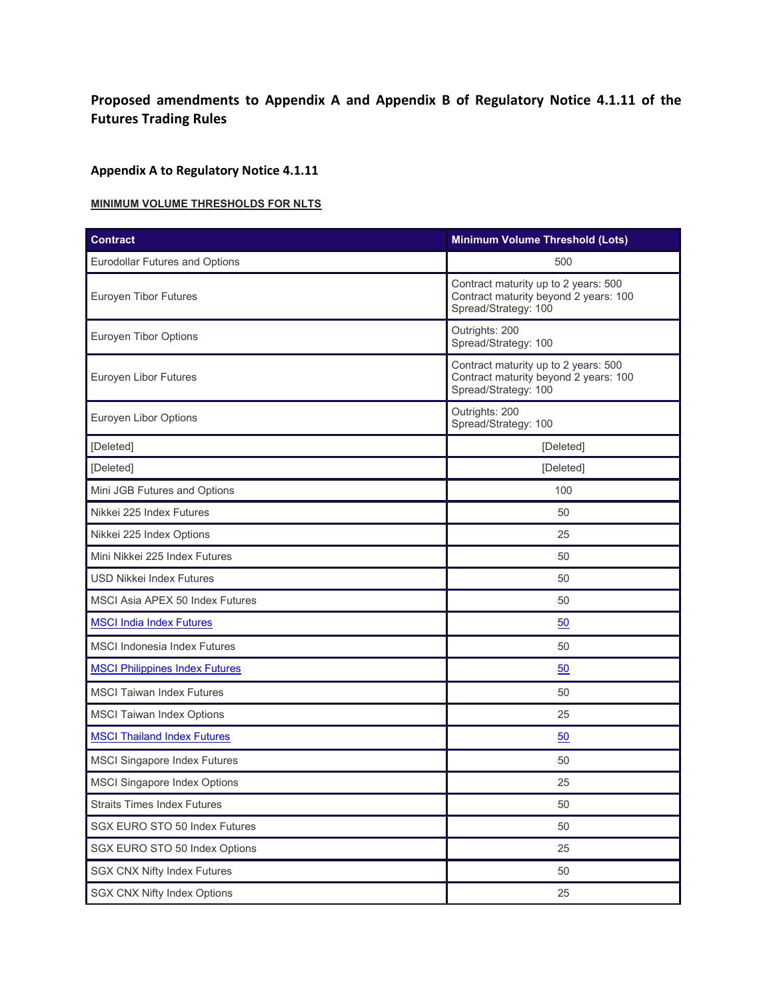# **Proposed amendments to Appendix A and Appendix B of Regulatory Notice 4.1.11 of the Futures Trading Rules**

## **Appendix A to Regulatory Notice 4.1.11**

#### **MINIMUM VOLUME THRESHOLDS FOR NLTS**

| <b>Contract</b>                       | Minimum Volume Threshold (Lots)                                                                       |  |
|---------------------------------------|-------------------------------------------------------------------------------------------------------|--|
| Eurodollar Futures and Options        | 500                                                                                                   |  |
| Euroyen Tibor Futures                 | Contract maturity up to 2 years: 500<br>Contract maturity beyond 2 years: 100<br>Spread/Strategy: 100 |  |
| Euroyen Tibor Options                 | Outrights: 200<br>Spread/Strategy: 100                                                                |  |
| Euroyen Libor Futures                 | Contract maturity up to 2 years: 500<br>Contract maturity beyond 2 years: 100<br>Spread/Strategy: 100 |  |
| Euroyen Libor Options                 | Outrights: 200<br>Spread/Strategy: 100                                                                |  |
| [Deleted]                             | [Deleted]                                                                                             |  |
| [Deleted]                             | [Deleted]                                                                                             |  |
| Mini JGB Futures and Options          | 100                                                                                                   |  |
| Nikkei 225 Index Futures              | 50                                                                                                    |  |
| Nikkei 225 Index Options              | 25                                                                                                    |  |
| Mini Nikkei 225 Index Futures         | 50                                                                                                    |  |
| <b>USD Nikkei Index Futures</b>       | 50                                                                                                    |  |
| MSCI Asia APEX 50 Index Futures       | 50                                                                                                    |  |
| <b>MSCI India Index Futures</b>       | 50                                                                                                    |  |
| MSCI Indonesia Index Futures          | 50                                                                                                    |  |
| <b>MSCI Philippines Index Futures</b> | 50                                                                                                    |  |
| <b>MSCI Taiwan Index Futures</b>      | 50                                                                                                    |  |
| <b>MSCI Taiwan Index Options</b>      | 25                                                                                                    |  |
| <b>MSCI Thailand Index Futures</b>    | 50                                                                                                    |  |
| <b>MSCI Singapore Index Futures</b>   | 50                                                                                                    |  |
| MSCI Singapore Index Options          | 25                                                                                                    |  |
| <b>Straits Times Index Futures</b>    | 50                                                                                                    |  |
| SGX EURO STO 50 Index Futures         | 50                                                                                                    |  |
| SGX EURO STO 50 Index Options         | 25                                                                                                    |  |
| <b>SGX CNX Nifty Index Futures</b>    | 50                                                                                                    |  |
| <b>SGX CNX Nifty Index Options</b>    | 25                                                                                                    |  |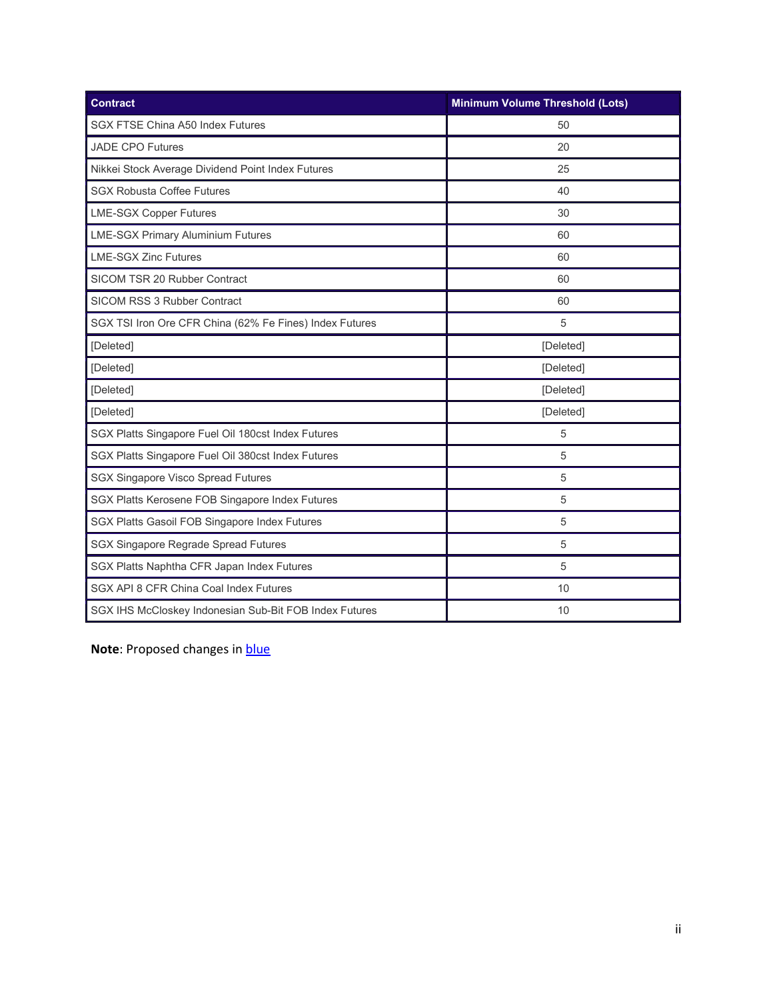| <b>Contract</b>                                         | Minimum Volume Threshold (Lots) |
|---------------------------------------------------------|---------------------------------|
| SGX FTSE China A50 Index Futures                        | 50                              |
| <b>JADE CPO Futures</b>                                 | 20                              |
| Nikkei Stock Average Dividend Point Index Futures       | 25                              |
| <b>SGX Robusta Coffee Futures</b>                       | 40                              |
| <b>LME-SGX Copper Futures</b>                           | 30                              |
| <b>LME-SGX Primary Aluminium Futures</b>                | 60                              |
| <b>LME-SGX Zinc Futures</b>                             | 60                              |
| SICOM TSR 20 Rubber Contract                            | 60                              |
| SICOM RSS 3 Rubber Contract                             | 60                              |
| SGX TSI Iron Ore CFR China (62% Fe Fines) Index Futures | 5                               |
| [Deleted]                                               | [Deleted]                       |
| [Deleted]                                               | [Deleted]                       |
| [Deleted]                                               | [Deleted]                       |
| [Deleted]                                               | [Deleted]                       |
| SGX Platts Singapore Fuel Oil 180cst Index Futures      | 5                               |
| SGX Platts Singapore Fuel Oil 380cst Index Futures      | 5                               |
| <b>SGX Singapore Visco Spread Futures</b>               | 5                               |
| SGX Platts Kerosene FOB Singapore Index Futures         | 5                               |
| SGX Platts Gasoil FOB Singapore Index Futures           | 5                               |
| SGX Singapore Regrade Spread Futures                    | 5                               |
| SGX Platts Naphtha CFR Japan Index Futures              | 5                               |
| SGX API 8 CFR China Coal Index Futures                  | 10                              |
| SGX IHS McCloskey Indonesian Sub-Bit FOB Index Futures  | 10                              |

**Note: Proposed changes in blue**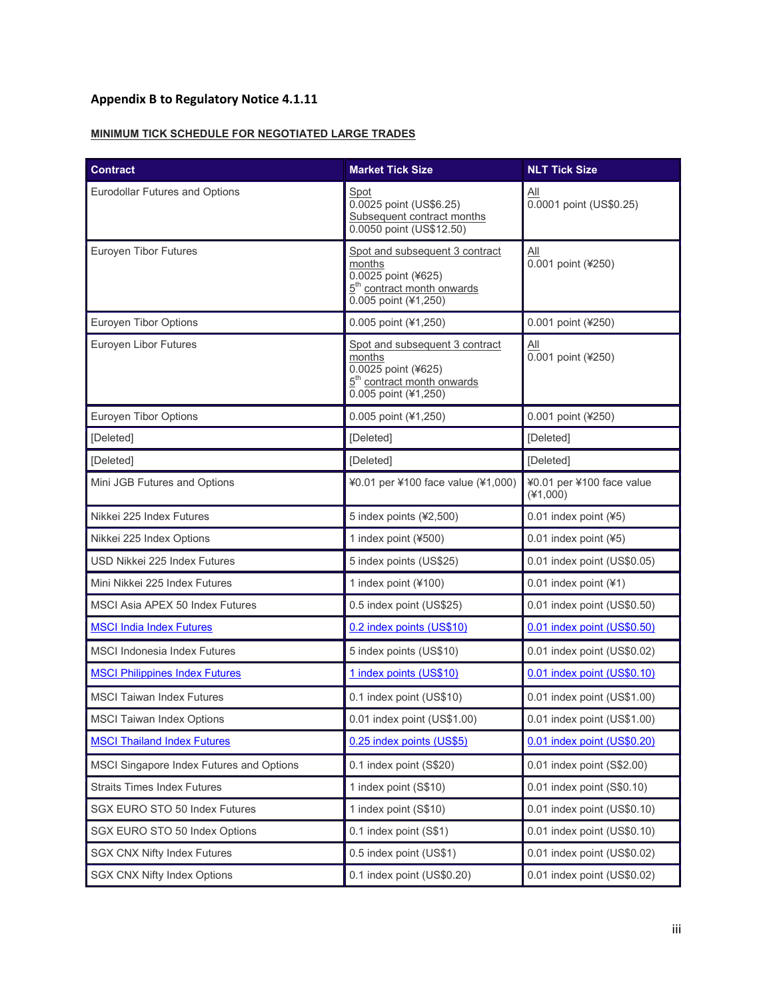# **Appendix B to Regulatory Notice 4.1.11**

### **MINIMUM TICK SCHEDULE FOR NEGOTIATED LARGE TRADES**

| <b>Contract</b>                          | <b>Market Tick Size</b>                                                                                                               | <b>NLT Tick Size</b>                    |
|------------------------------------------|---------------------------------------------------------------------------------------------------------------------------------------|-----------------------------------------|
| <b>Eurodollar Futures and Options</b>    | Spot<br>0.0025 point (US\$6.25)<br>Subsequent contract months<br>0.0050 point (US\$12.50)                                             | $\Delta$ ll<br>0.0001 point (US\$0.25)  |
| <b>Euroyen Tibor Futures</b>             | Spot and subsequent 3 contract<br>months<br>0.0025 point (¥625)<br>5 <sup>th</sup> contract month onwards<br>0.005 point (¥1,250)     | All<br>0.001 point (¥250)               |
| Euroyen Tibor Options                    | 0.005 point (¥1,250)                                                                                                                  | 0.001 point (¥250)                      |
| Euroyen Libor Futures                    | Spot and subsequent 3 contract<br>months<br>$0.0025$ point (¥625)<br>5 <sup>th</sup> contract month onwards<br>$0.005$ point (¥1,250) | All<br>0.001 point (¥250)               |
| <b>Euroyen Tibor Options</b>             | 0.005 point (¥1,250)                                                                                                                  | 0.001 point (¥250)                      |
| [Deleted]                                | [Deleted]                                                                                                                             | [Deleted]                               |
| [Deleted]                                | [Deleted]                                                                                                                             | [Deleted]                               |
| Mini JGB Futures and Options             | ¥0.01 per ¥100 face value (¥1,000)                                                                                                    | ¥0.01 per ¥100 face value<br>$(*1,000)$ |
| Nikkei 225 Index Futures                 | 5 index points (¥2,500)                                                                                                               | 0.01 index point $(45)$                 |
| Nikkei 225 Index Options                 | 1 index point (¥500)                                                                                                                  | 0.01 index point $(45)$                 |
| USD Nikkei 225 Index Futures             | 5 index points (US\$25)                                                                                                               | 0.01 index point (US\$0.05)             |
| Mini Nikkei 225 Index Futures            | 1 index point (¥100)                                                                                                                  | 0.01 index point $(41)$                 |
| MSCI Asia APEX 50 Index Futures          | 0.5 index point (US\$25)                                                                                                              | 0.01 index point (US\$0.50)             |
| <b>MSCI India Index Futures</b>          | 0.2 index points (US\$10)                                                                                                             | 0.01 index point (US\$0.50)             |
| <b>MSCI Indonesia Index Futures</b>      | 5 index points (US\$10)                                                                                                               | 0.01 index point (US\$0.02)             |
| <b>MSCI Philippines Index Futures</b>    | 1 index points (US\$10)                                                                                                               | 0.01 index point (US\$0.10)             |
| <b>MSCI Taiwan Index Futures</b>         | 0.1 index point (US\$10)                                                                                                              | 0.01 index point (US\$1.00)             |
| <b>MSCI Taiwan Index Options</b>         | 0.01 index point (US\$1.00)                                                                                                           | 0.01 index point (US\$1.00)             |
| <b>MSCI Thailand Index Futures</b>       | 0.25 index points (US\$5)                                                                                                             | 0.01 index point (US\$0.20)             |
| MSCI Singapore Index Futures and Options | 0.1 index point (S\$20)                                                                                                               | 0.01 index point (S\$2.00)              |
| <b>Straits Times Index Futures</b>       | 1 index point (S\$10)                                                                                                                 | 0.01 index point (S\$0.10)              |
| SGX EURO STO 50 Index Futures            | 1 index point (S\$10)                                                                                                                 | 0.01 index point (US\$0.10)             |
| SGX EURO STO 50 Index Options            | 0.1 index point (S\$1)                                                                                                                | 0.01 index point (US\$0.10)             |
| <b>SGX CNX Nifty Index Futures</b>       | 0.5 index point (US\$1)                                                                                                               | 0.01 index point (US\$0.02)             |
| <b>SGX CNX Nifty Index Options</b>       | 0.1 index point (US\$0.20)                                                                                                            | 0.01 index point (US\$0.02)             |